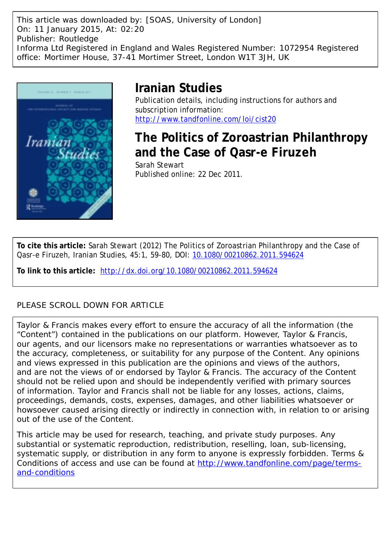This article was downloaded by: [SOAS, University of London] On: 11 January 2015, At: 02:20 Publisher: Routledge Informa Ltd Registered in England and Wales Registered Number: 1072954 Registered office: Mortimer House, 37-41 Mortimer Street, London W1T 3JH, UK



## **Iranian Studies**

Publication details, including instructions for authors and subscription information: <http://www.tandfonline.com/loi/cist20>

# **The Politics of Zoroastrian Philanthropy and the Case of Qasr-e Firuzeh**

Sarah Stewart Published online: 22 Dec 2011.

**To cite this article:** Sarah Stewart (2012) The Politics of Zoroastrian Philanthropy and the Case of Qasr-e Firuzeh, Iranian Studies, 45:1, 59-80, DOI: [10.1080/00210862.2011.594624](http://www.tandfonline.com/action/showCitFormats?doi=10.1080/00210862.2011.594624)

**To link to this article:** <http://dx.doi.org/10.1080/00210862.2011.594624>

### PLEASE SCROLL DOWN FOR ARTICLE

Taylor & Francis makes every effort to ensure the accuracy of all the information (the "Content") contained in the publications on our platform. However, Taylor & Francis, our agents, and our licensors make no representations or warranties whatsoever as to the accuracy, completeness, or suitability for any purpose of the Content. Any opinions and views expressed in this publication are the opinions and views of the authors, and are not the views of or endorsed by Taylor & Francis. The accuracy of the Content should not be relied upon and should be independently verified with primary sources of information. Taylor and Francis shall not be liable for any losses, actions, claims, proceedings, demands, costs, expenses, damages, and other liabilities whatsoever or howsoever caused arising directly or indirectly in connection with, in relation to or arising out of the use of the Content.

This article may be used for research, teaching, and private study purposes. Any substantial or systematic reproduction, redistribution, reselling, loan, sub-licensing, systematic supply, or distribution in any form to anyone is expressly forbidden. Terms & Conditions of access and use can be found at [http://www.tandfonline.com/page/terms](http://www.tandfonline.com/page/terms-and-conditions)[and-conditions](http://www.tandfonline.com/page/terms-and-conditions)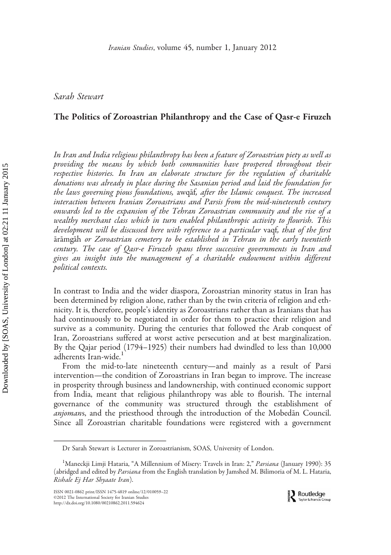Sarah Stewart

#### The Politics of Zoroastrian Philanthropy and the Case of Qasr-e Firuzeh

In Iran and India religious philanthropy has been a feature of Zoroastrian piety as well as providing the means by which both communities have prospered throughout their respective histories. In Iran an elaborate structure for the regulation of charitable donations was already in place during the Sasanian period and laid the foundation for the laws governing pious foundations, awqāf, after the Islamic conquest. The increased interaction between Iranian Zoroastrians and Parsis from the mid-nineteenth century onwards led to the expansion of the Tehran Zoroastrian community and the rise of a wealthy merchant class which in turn enabled philanthropic activity to flourish. This development will be discussed here with reference to a particular vaqf, that of the first ārāmgāh or Zoroastrian cemetery to be established in Tehran in the early twentieth century. The case of Qasr-e Firuzeh spans three successive governments in Iran and gives an insight into the management of a charitable endowment within different political contexts.

In contrast to India and the wider diaspora, Zoroastrian minority status in Iran has been determined by religion alone, rather than by the twin criteria of religion and ethnicity. It is, therefore, people's identity as Zoroastrians rather than as Iranians that has had continuously to be negotiated in order for them to practice their religion and survive as a community. During the centuries that followed the Arab conquest of Iran, Zoroastrians suffered at worst active persecution and at best marginalization. By the Qajar period (1794–1925) their numbers had dwindled to less than 10,000 adherents Iran-wide.<sup>1</sup>

From the mid-to-late nineteenth century—and mainly as a result of Parsi intervention—the condition of Zoroastrians in Iran began to improve. The increase in prosperity through business and landownership, with continued economic support from India, meant that religious philanthropy was able to flourish. The internal governance of the community was structured through the establishment of anjomans, and the priesthood through the introduction of the Mobedan Council. Since all Zoroastrian charitable foundations were registered with a government

Dr Sarah Stewart is Lecturer in Zoroastrianism, SOAS, University of London.

<sup>&</sup>lt;sup>1</sup>Maneckji Limji Hataria, "A Millennium of Misery: Travels in Iran: 2," *Parsiana* (January 1990): 35 (abridged and edited by Parsiana from the English translation by Jamshed M. Bilimoria of M. L. Hataria, Rishale Ej Har Shyaate Iran).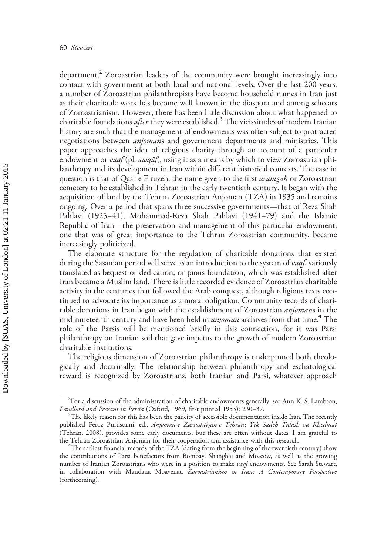department, $2$  Zoroastrian leaders of the community were brought increasingly into contact with government at both local and national levels. Over the last 200 years, a number of Zoroastrian philanthropists have become household names in Iran just as their charitable work has become well known in the diaspora and among scholars of Zoroastrianism. However, there has been little discussion about what happened to charitable foundations *after* they were established.<sup>3</sup> The vicissitudes of modern Iranian history are such that the management of endowments was often subject to protracted negotiations between *anjomans* and government departments and ministries. This paper approaches the idea of religious charity through an account of a particular endowment or  $\text{vagf}$  (pl.  $\text{awg}\bar{\text{af}}$ ), using it as a means by which to view Zoroastrian philanthropy and its development in Iran within different historical contexts. The case in question is that of Qasr-e Firuzeh, the name given to the first *ārāmgāh* or Zoroastrian cemetery to be established in Tehran in the early twentieth century. It began with the acquisition of land by the Tehran Zoroastrian Anjoman (TZA) in 1935 and remains ongoing. Over a period that spans three successive governments—that of Reza Shah Pahlavi (1925–41), Mohammad-Reza Shah Pahlavi (1941–79) and the Islamic Republic of Iran—the preservation and management of this particular endowment, one that was of great importance to the Tehran Zoroastrian community, became increasingly politicized.

The elaborate structure for the regulation of charitable donations that existed during the Sasanian period will serve as an introduction to the system of *vaqf*, variously translated as bequest or dedication, or pious foundation, which was established after Iran became a Muslim land. There is little recorded evidence of Zoroastrian charitable activity in the centuries that followed the Arab conquest, although religious texts continued to advocate its importance as a moral obligation. Community records of charitable donations in Iran began with the establishment of Zoroastrian *anjomans* in the mid-nineteenth century and have been held in *anjoman* archives from that time.<sup>4</sup> The role of the Parsis will be mentioned briefly in this connection, for it was Parsi philanthropy on Iranian soil that gave impetus to the growth of modern Zoroastrian charitable institutions.

The religious dimension of Zoroastrian philanthropy is underpinned both theologically and doctrinally. The relationship between philanthropy and eschatological reward is recognized by Zoroastrians, both Iranian and Parsi, whatever approach

 $^2$ For a discussion of the administration of charitable endowments generally, see Ann K. S. Lambton, Landlord and Peasant in Persia (Oxford, 1969, first printed 1953): 230-37.

 $3$ The likely reason for this has been the paucity of accessible documentation inside Iran. The recently published Feroz Pūrūstāmi, ed., Anjoman-e Zartoshtiyān-e Tehrān: Yek Sadeh Talāsh va Khedmat (Tehran, 2008), provides some early documents, but these are often without dates. I am grateful to the Tehran Zoroastrian Anjoman for their cooperation and assistance with this research. <sup>4</sup>

 $T$ The earliest financial records of the TZA (dating from the beginning of the twentieth century) show the contributions of Parsi benefactors from Bombay, Shanghai and Moscow, as well as the growing number of Iranian Zoroastrians who were in a position to make vaqf endowments. See Sarah Stewart, in collaboration with Mandana Moavenat, Zoroastrianism in Iran: A Contemporary Perspective (forthcoming).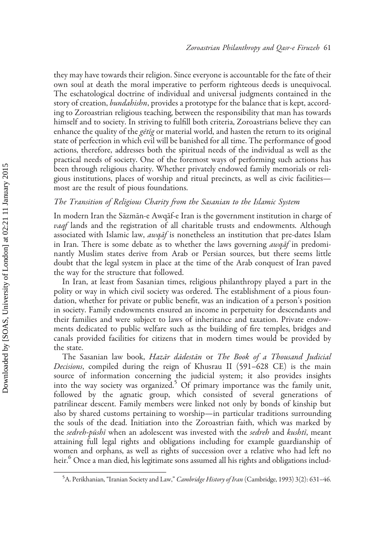they may have towards their religion. Since everyone is accountable for the fate of their own soul at death the moral imperative to perform righteous deeds is unequivocal. The eschatological doctrine of individual and universal judgments contained in the story of creation, bundahishn, provides a prototype for the balance that is kept, according to Zoroastrian religious teaching, between the responsibility that man has towards himself and to society. In striving to fulfill both criteria, Zoroastrians believe they can enhance the quality of the *gētīg* or material world, and hasten the return to its original state of perfection in which evil will be banished for all time. The performance of good actions, therefore, addresses both the spiritual needs of the individual as well as the practical needs of society. One of the foremost ways of performing such actions has been through religious charity. Whether privately endowed family memorials or religious institutions, places of worship and ritual precincts, as well as civic facilities most are the result of pious foundations.

#### The Transition of Religious Charity from the Sasanian to the Islamic System

In modern Iran the Sāzmān-e Awqāf-e Iran is the government institution in charge of vaqf lands and the registration of all charitable trusts and endowments. Although associated with Islamic law,  $awq\bar{a}f$  is nonetheless an institution that pre-dates Islam in Iran. There is some debate as to whether the laws governing *awqaf* in predominantly Muslim states derive from Arab or Persian sources, but there seems little doubt that the legal system in place at the time of the Arab conquest of Iran paved the way for the structure that followed.

In Iran, at least from Sasanian times, religious philanthropy played a part in the polity or way in which civil society was ordered. The establishment of a pious foundation, whether for private or public benefit, was an indication of a person's position in society. Family endowments ensured an income in perpetuity for descendants and their families and were subject to laws of inheritance and taxation. Private endowments dedicated to public welfare such as the building of fire temples, bridges and canals provided facilities for citizens that in modern times would be provided by the state.

The Sasanian law book, Hazār dādestān or The Book of a Thousand Judicial Decisions, compiled during the reign of Khusrau II (591–628 CE) is the main source of information concerning the judicial system; it also provides insights into the way society was organized.<sup>5</sup> Of primary importance was the family unit, followed by the agnatic group, which consisted of several generations of patrilinear descent. Family members were linked not only by bonds of kinship but also by shared customs pertaining to worship—in particular traditions surrounding the souls of the dead. Initiation into the Zoroastrian faith, which was marked by the sedreh-pūshī when an adolescent was invested with the sedreh and kushtī, meant attaining full legal rights and obligations including for example guardianship of women and orphans, as well as rights of succession over a relative who had left no heir.<sup>6</sup> Once a man died, his legitimate sons assumed all his rights and obligations includ-

<sup>&</sup>lt;sup>5</sup>A. Perikhanian, "Iranian Society and Law," *Cambridge History of Iran* (Cambridge, 1993) 3(2): 631–46.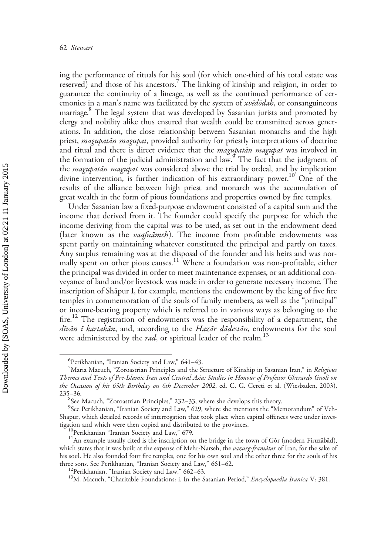ing the performance of rituals for his soul (for which one-third of his total estate was reserved) and those of his ancestors.<sup>7</sup> The linking of kinship and religion, in order to guarantee the continuity of a lineage, as well as the continued performance of ceremonies in a man's name was facilitated by the system of xvedodah, or consanguineous marriage.<sup>8</sup> The legal system that was developed by Sasanian jurists and promoted by clergy and nobility alike thus ensured that wealth could be transmitted across generations. In addition, the close relationship between Sasanian monarchs and the high priest, magupatān magupat, provided authority for priestly interpretations of doctrine and ritual and there is direct evidence that the magupatan magupat was involved in the formation of the judicial administration and law.<sup>9</sup> The fact that the judgment of the *magupatān magupat* was considered above the trial by ordeal, and by implication divine intervention, is further indication of his extraordinary power.<sup>10</sup> One of the results of the alliance between high priest and monarch was the accumulation of great wealth in the form of pious foundations and properties owned by fire temples.

Under Sasanian law a fixed-purpose endowment consisted of a capital sum and the income that derived from it. The founder could specify the purpose for which the income deriving from the capital was to be used, as set out in the endowment deed (later known as the *vaqfnāmeh*). The income from profitable endowments was spent partly on maintaining whatever constituted the principal and partly on taxes. Any surplus remaining was at the disposal of the founder and his heirs and was normally spent on other pious causes.<sup>11</sup> Where a foundation was non-profitable, either the principal was divided in order to meet maintenance expenses, or an additional conveyance of land and/or livestock was made in order to generate necessary income. The inscription of Shāpur I, for example, mentions the endowment by the king of five fire temples in commemoration of the souls of family members, as well as the "principal" or income-bearing property which is referred to in various ways as belonging to the fire.<sup>12</sup> The registration of endowments was the responsibility of a department, the dīvān ī kartakān, and, according to the Hazār dādestān, endowments for the soul were administered by the *rad*, or spiritual leader of the realm.<sup>13</sup>

<sup>&</sup>lt;sup>6</sup> Perikhanian, "Iranian Society and Law," 641–43.<br><sup>7</sup>Maria Macuch, "Zoroastrian Principles and the S

 $^7$ Maria Macuch, "Zoroastrian Principles and the Structure of Kinship in Sasanian Iran," in Religious Themes and Texts of Pre-Islamic Iran and Central Asia: Studies in Honour of Professor Gherardo Gnoli on the Occasion of his 65th Birthday on 6th December 2002, ed. C. G. Cereti et al. (Wiesbaden, 2003),  $235 - 36.$ 

 ${}^{8}$ See Macuch, "Zoroastrian Principles," 232-33, where she develops this theory.

<sup>&</sup>lt;sup>9</sup>See Perikhanian, "Iranian Society and Law," 629, where she mentions the "Memorandum" of Veh-Shāpūr, which detailed records of interrogation that took place when capital offences were under investigation and which were then copied and distributed to the provinces.<br><sup>10</sup>Perikhanian "Iranian Society and Law," 679. <sup>11</sup>An example usually cited is the inscription on the bridge in the town of Gōr (modern Firuzābād),

which states that it was built at the expense of Mehr-Narseh, the vazurg-framātar of Iran, for the sake of his soul. He also founded four fire temples, one for his own soul and the other three for the souls of his three sons. See Perikhanian, "Iranian Society and Law," 661–62.<br><sup>12</sup>Perikhanian, "Iranian Society and Law," 662–63. <sup>13</sup>M. Macuch, "Charitable Foundations: i. In the Sasanian Period," *Encyclopaedia Iranica* V: 381.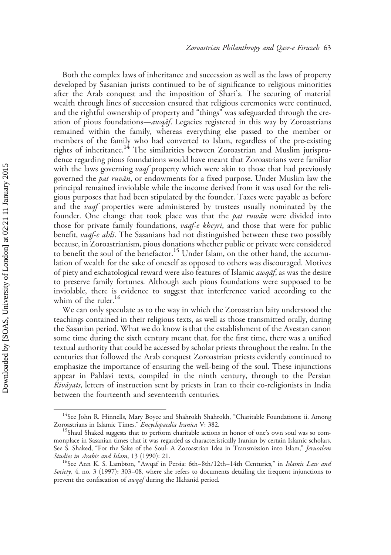Both the complex laws of inheritance and succession as well as the laws of property developed by Sasanian jurists continued to be of significance to religious minorities after the Arab conquest and the imposition of Shari'a. The securing of material wealth through lines of succession ensured that religious ceremonies were continued, and the rightful ownership of property and "things" was safeguarded through the creation of pious foundations—awqāf. Legacies registered in this way by Zoroastrians remained within the family, whereas everything else passed to the member or members of the family who had converted to Islam, regardless of the pre-existing rights of inheritance.<sup>14</sup> The similarities between Zoroastrian and Muslim jurisprudence regarding pious foundations would have meant that Zoroastrians were familiar with the laws governing *vaqf* property which were akin to those that had previously governed the *pat ruvān*, or endowments for a fixed purpose. Under Muslim law the principal remained inviolable while the income derived from it was used for the religious purposes that had been stipulated by the founder. Taxes were payable as before and the *vaqf* properties were administered by trustees usually nominated by the founder. One change that took place was that the *pat ruwān* were divided into those for private family foundations, *vaqf-e kheyri*, and those that were for public benefit, *vaqf-e ahli*. The Sasanians had not distinguished between these two possibly because, in Zoroastrianism, pious donations whether public or private were considered to benefit the soul of the benefactor.<sup>15</sup> Under Islam, on the other hand, the accumulation of wealth for the sake of oneself as opposed to others was discouraged. Motives of piety and eschatological reward were also features of Islamic *awqaf*, as was the desire to preserve family fortunes. Although such pious foundations were supposed to be inviolable, there is evidence to suggest that interference varied according to the whim of the ruler.<sup>16</sup>

We can only speculate as to the way in which the Zoroastrian laity understood the teachings contained in their religious texts, as well as those transmitted orally, during the Sasanian period. What we do know is that the establishment of the Avestan canon some time during the sixth century meant that, for the first time, there was a unified textual authority that could be accessed by scholar priests throughout the realm. In the centuries that followed the Arab conquest Zoroastrian priests evidently continued to emphasize the importance of ensuring the well-being of the soul. These injunctions appear in Pahlavi texts, compiled in the ninth century, through to the Persian Rivāyats, letters of instruction sent by priests in Iran to their co-religionists in India between the fourteenth and seventeenth centuries.

<sup>&</sup>lt;sup>14</sup>See John R. Hinnells, Mary Boyce and Shāhrokh Shāhrokh, "Charitable Foundations: ii. Among Zoroastrians in Islamic Times," Encyclopaedia Iranica V: 382.<br><sup>15</sup>Shaul Shaked suggests that to perform charitable actions in honor of one's own soul was so com-

monplace in Sasanian times that it was regarded as characteristically Iranian by certain Islamic scholars. See S. Shaked, "For the Sake of the Soul: A Zoroastrian Idea in Transmission into Islam," Jerusalem Studies in Arabic and Islam, 13 (1990): 21.<br><sup>16</sup>See Ann K. S. Lambton, "Awqāf in Persia: 6th–8th/12th–14th Centuries," in *Islamic Law and* 

Society, 4, no. 3 (1997): 303–08, where she refers to documents detailing the frequent injunctions to prevent the confiscation of awqāf during the Ilkhānid period.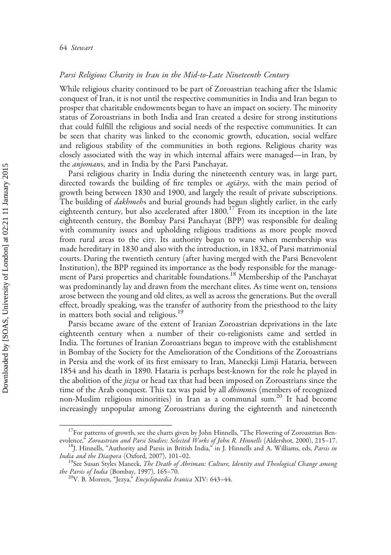#### Parsi Religious Charity in Iran in the Mid-to-Late Nineteenth Century

While religious charity continued to be part of Zoroastrian teaching after the Islamic conquest of Iran, it is not until the respective communities in India and Iran began to prosper that charitable endowments began to have an impact on society. The minority status of Zoroastrians in both India and Iran created a desire for strong institutions that could fulfill the religious and social needs of the respective communities. It can be seen that charity was linked to the economic growth, education, social welfare and religious stability of the communities in both regions. Religious charity was closely associated with the way in which internal affairs were managed—in Iran, by the anjomans, and in India by the Parsi Panchayat.

Parsi religious charity in India during the nineteenth century was, in large part, directed towards the building of fire temples or *agiarys*, with the main period of growth being between 1830 and 1900, and largely the result of private subscriptions. The building of *dakhmehs* and burial grounds had begun slightly earlier, in the early eighteenth century, but also accelerated after 1800.<sup>17</sup> From its inception in the late eighteenth century, the Bombay Parsi Panchayat (BPP) was responsible for dealing with community issues and upholding religious traditions as more people moved from rural areas to the city. Its authority began to wane when membership was made hereditary in 1830 and also with the introduction, in 1832, of Parsi matrimonial courts. During the twentieth century (after having merged with the Parsi Benevolent Institution), the BPP regained its importance as the body responsible for the management of Parsi properties and charitable foundations.<sup>18</sup> Membership of the Panchayat was predominantly lay and drawn from the merchant elites. As time went on, tensions arose between the young and old elites, as well as across the generations. But the overall effect, broadly speaking, was the transfer of authority from the priesthood to the laity in matters both social and religious.<sup>19</sup>

Parsis became aware of the extent of Iranian Zoroastrian deprivations in the late eighteenth century when a number of their co-religionists came and settled in India. The fortunes of Iranian Zoroastrians began to improve with the establishment in Bombay of the Society for the Amelioration of the Conditions of the Zoroastrians in Persia and the work of its first emissary to Iran, Maneckji Limji Hataria, between 1854 and his death in 1890. Hataria is perhaps best-known for the role he played in the abolition of the jizya or head tax that had been imposed on Zoroastrians since the time of the Arab conquest. This tax was paid by all *dhimmis* (members of recognized non-Muslim religious minorities) in Iran as a communal sum.<sup>20</sup> It had become increasingly unpopular among Zoroastrians during the eighteenth and nineteenth

<sup>&</sup>lt;sup>17</sup>For patterns of growth, see the charts given by John Hinnells, "The Flowering of Zoroastrian Ben-

evolence," Zoroastrian and Parsi Studies: Selected Works of John R. Hinnells (Aldershot, 2000), 215–17.<br><sup>18</sup>J. Hinnells, "Authority and Parsis in British India," in J. Hinnells and A. Williams, eds, *Parsis in India and th* 

<sup>&</sup>lt;sup>19</sup>See Susan Styles Maneck, The Death of Ahriman: Culture, Identity and Theological Change among the Parsis of India (Bombay, 1997), 165–70.<br><sup>20</sup>V. B. Moreen, "Jezya," Encyclopaedia Iranica XIV: 643–44.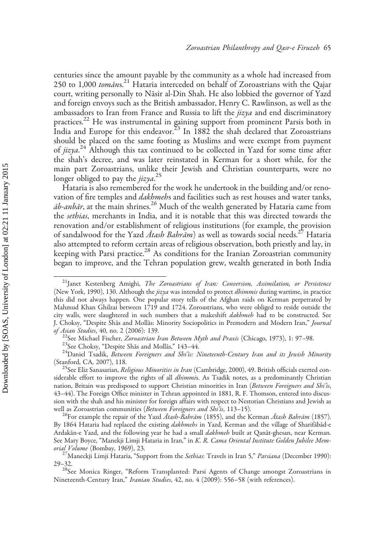centuries since the amount payable by the community as a whole had increased from 250 to 1,000 tomāns.<sup>21</sup> Hataria interceded on behalf of Zoroastrians with the Qajar court, writing personally to Nāsir al-Din Shah. He also lobbied the governor of Yazd and foreign envoys such as the British ambassador, Henry C. Rawlinson, as well as the ambassadors to Iran from France and Russia to lift the jizya and end discriminatory practices.22 He was instrumental in gaining support from prominent Parsis both in India and Europe for this endeavor.<sup>23</sup> In  $1882$  the shah declared that Zoroastrians should be placed on the same footing as Muslims and were exempt from payment of jizya.<sup>24</sup> Although this tax continued to be collected in Yazd for some time after the shah's decree, and was later reinstated in Kerman for a short while, for the main part Zoroastrians, unlike their Jewish and Christian counterparts, were no longer obliged to pay the jizya.<sup>25</sup>

Hataria is also remembered for the work he undertook in the building and/or renovation of fire temples and *dakhmehs* and facilities such as rest houses and water tanks,  $\bar{a}b$ -anbār, at the main shrines.<sup>26</sup> Much of the wealth generated by Hataria came from the sethias, merchants in India, and it is notable that this was directed towards the renovation and/or establishment of religious institutions (for example, the provision of sandalwood for the Yazd  $\tilde{A}$ tash Bahrām) as well as towards social needs.<sup>27</sup> Hataria also attempted to reform certain areas of religious observation, both priestly and lay, in keeping with Parsi practice.<sup>28</sup> As conditions for the Iranian Zoroastrian community began to improve, and the Tehran population grew, wealth generated in both India

of Asian Studies, 40, no. 2 (2006): 139.<br><sup>22</sup>See Michael Fischer, *Zoroastrian Iran Between Myth and Praxis* (Chicago, 1973), 1: 97–98.<br><sup>23</sup>See Choksy, "Despite Shās and Mollās," 143–44.<br><sup>24</sup>Daniel Tsadik, *Between Foreign* 

<sup>25</sup>See Eliz Sanasarian, Religious Minorities in Iran (Cambridge, 2000), 49. British officials exerted considerable effort to improve the rights of all *dhimmis*. As Tsadik notes, as a predominantly Christian nation, Britain was predisposed to support Christian minorities in Iran (Between Foreigners and Shi'is, 43–44). The Foreign Office minister in Tehran appointed in 1881, R. F. Thomson, entered into discussion with the shah and his minister for foreign affairs with respect to Nestorian Christians and Jewish as well as Zoroastrian communities (*Between Foreigners and Shi'is*, 113–15).<br><sup>26</sup>For example the repair of the Yazd *Ātash-Bahrām* (1855), and the Kerman *Ātash Bahrām* (1857).

By 1864 Hataria had replaced the existing dakhmehs in Yazd, Kerman and the village of Sharifābād-e Ardakān-e Yazd, and the following year he had a small *dakhmeh* built at Qanāt-ghesan, near Kerman. See Mary Boyce, "Manekji Limji Hataria in Iran," in *K. R. Cama Oriental Institute Golden Jubilee Mem-*<br>orial Volume (Bombay, 1969), 23.

<sup>28</sup>See Monica Ringer, "Reform Transplanted: Parsi Agents of Change amongst Zoroastrians in Nineteenth-Century Iran," Iranian Studies, 42, no. 4 (2009): 556-58 (with references).

<sup>&</sup>lt;sup>21</sup>Janet Kestenberg Amighi, *The Zoroastrians of Iran: Conversion, Assimilation, or Persistence* (New York, 1990), 130. Although the *jizya* was intended to protect *dhimmis* during wartime, in practice this did not always happen. One popular story tells of the Afghan raids on Kerman perpetrated by Mahmud Khan Ghilzai between 1719 and 1724. Zoroastrians, who were obliged to reside outside the city walls, were slaughtered in such numbers that a makeshift *dakhmeh* had to be constructed. See J. Choksy, "Despite Shās and Mollās: Minority Sociopolitics in Premodern and Modern Iran," Journal

<sup>&</sup>lt;sup>27</sup>Maneckji Limji Hataria, "Support from the Sethias: Travels in Iran 5," Parsiana (December 1990): 29–32.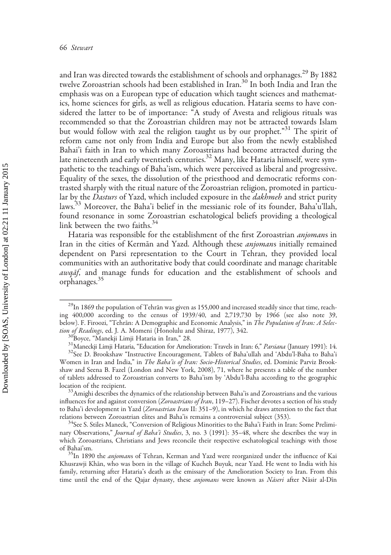and Iran was directed towards the establishment of schools and orphanages.<sup>29</sup> By 1882 twelve Zoroastrian schools had been established in Iran.<sup>30</sup> In both India and Iran the emphasis was on a European type of education which taught sciences and mathematics, home sciences for girls, as well as religious education. Hataria seems to have considered the latter to be of importance: "A study of Avesta and religious rituals was recommended so that the Zoroastrian children may not be attracted towards Islam but would follow with zeal the religion taught us by our prophet."<sup>31</sup> The spirit of reform came not only from India and Europe but also from the newly established Bahai'i faith in Iran to which many Zoroastrians had become attracted during the late nineteenth and early twentieth centuries.<sup>32</sup> Many, like Hataria himself, were sympathetic to the teachings of Baha'ism, which were perceived as liberal and progressive. Equality of the sexes, the dissolution of the priesthood and democratic reforms contrasted sharply with the ritual nature of the Zoroastrian religion, promoted in particular by the Dasturs of Yazd, which included exposure in the dakhmeh and strict purity laws.<sup>33</sup> Moreover, the Baha'i belief in the messianic role of its founder, Baha'u'llah, found resonance in some Zoroastrian eschatological beliefs providing a theological link between the two faiths.<sup>34</sup>

Hataria was responsible for the establishment of the first Zoroastrian *anjomans* in Iran in the cities of Kermān and Yazd. Although these anjomans initially remained dependent on Parsi representation to the Court in Tehran, they provided local communities with an authoritative body that could coordinate and manage charitable awqāf, and manage funds for education and the establishment of schools and orphanages.<sup>35</sup>

 $^{29}$ In 1869 the population of Tehrān was given as 155,000 and increased steadily since that time, reaching 400,000 according to the census of 1939/40, and 2,719,730 by 1966 (see also note 39, below). F. Firoozi, "Tehrān: A Demographic and Economic Analysis," in The Population of Iran: A Selection of Readings, ed. J. A. Momeni (Honolulu and Shiraz, 1977), 342.<br><sup>30</sup>Boyce, "Manekji Limji Hataria in Iran," 28.<br><sup>31</sup>Maneckji Limji Hataria, "Education for Amelioration: Travels in Iran: 6," *Parsiana* (January 1991):

Women in Iran and India," in The Baha'is of Iran: Socio-Historical Studies, ed. Dominic Parviz Brookshaw and Seena B. Fazel (London and New York, 2008), 71, where he presents a table of the number of tablets addressed to Zoroastrian converts to Baha'ism by 'Abdu'l-Baha according to the geographic

 $33$ Amighi describes the dynamics of the relationship between Baha'is and Zoroastrians and the various influences for and against conversion (Zoroastrians of Iran, 119–27). Fischer devotes a section of his study to Baha'i development in Yazd (Zoroastrian Iran II: 351-9), in which he draws attention to the fact that relations between Zoroastrian elites and Baha'is remains a controversial subject (353).<br><sup>34</sup>See S. Stiles Maneck, "Conversion of Religious Minorities to the Baha'i Faith in Iran: Some Prelimi-

nary Observations," Journal of Baha'i Studies, 3, no. 3 (1991): 35–48, where she describes the way in which Zoroastrians, Christians and Jews reconcile their respective eschatological teachings with those of Bahai'sm.<br><sup>35</sup>In 1890 the *anjoman*s of Tehran, Kerman and Yazd were reorganized under the influence of Kai

Khusrawji Khān, who was born in the village of Kucheh Buyuk, near Yazd. He went to India with his family, returning after Hataria's death as the emissary of the Amelioration Society to Iran. From this time until the end of the Qajar dynasty, these anjomans were known as Nāseri after Nāsir al-Dīn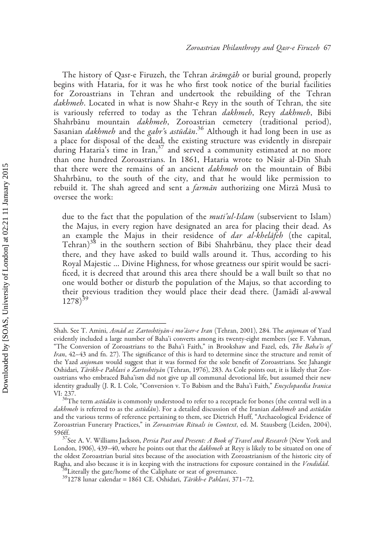The history of Qasr-e Firuzeh, the Tehran *ārāmgāh* or burial ground, properly begins with Hataria, for it was he who first took notice of the burial facilities for Zoroastrians in Tehran and undertook the rebuilding of the Tehran dakhmeh. Located in what is now Shahr-e Reyy in the south of Tehran, the site is variously referred to today as the Tehran dakhmeh, Reyy dakhmeh, Bibi Shahrbānu mountain *dakhmeh*, Zoroastrian cemetery (traditional period), Sasanian *dakhmeh* and the gabr's astūdān.<sup>36</sup> Although it had long been in use as a place for disposal of the dead, the existing structure was evidently in disrepair during Hataria's time in Iran,<sup>37</sup> and served a community estimated at no more than one hundred Zoroastrians. In 1861, Hataria wrote to Nāsir al-Dīn Shah that there were the remains of an ancient *dakhmeh* on the mountain of Bibi Shahrbānu, to the south of the city, and that he would like permission to rebuild it. The shah agreed and sent a farmān authorizing one Mirzā Musā to oversee the work:

due to the fact that the population of the *muti'ul-Islam* (subservient to Islam) the Majus, in every region have designated an area for placing their dead. As an example the Majus in their residence of *dar al-khelāfeh* (the capital, Tehran)<sup>38</sup> in the southern section of Bibi Shahrbānu, they place their dead there, and they have asked to build walls around it. Thus, according to his Royal Majestic … Divine Highness, for whose greatness our spirit would be sacrificed, it is decreed that around this area there should be a wall built so that no one would bother or disturb the population of the Majus, so that according to their previous tradition they would place their dead there. (Jamādī al-awwal  $1278)^{59}$ 

Shah. See T. Amini, Asnād az Zartoshtiyān-i mo'āser-e Iran (Tehran, 2001), 284. The anjoman of Yazd evidently included a large number of Baha'i converts among its twenty-eight members (see F. Vahman, "The Conversion of Zoroastrians to the Baha'i Faith," in Brookshaw and Fazel, eds, The Baha'is of Iran, 42–43 and fn. 27). The significance of this is hard to determine since the structure and remit of the Yazd *anjoman* would suggest that it was formed for the sole benefit of Zoroastrians. See Jahangir Oshidari, Tārikh-e Pahlavi o Zartoshtiyān (Tehran, 1976), 283. As Cole points out, it is likely that Zoroastrians who embraced Baha'ism did not give up all communal devotional life, but assumed their new identity gradually (J. R. I. Cole, "Conversion v. To Babism and the Baha'i Faith," Encyclopaedia Iranica VI: 237.<br><sup>36</sup>The term *astūdān* is commonly understood to refer to a receptacle for bones (the central well in a

dakhmeh is referred to as the astūdān). For a detailed discussion of the Iranian dakhmeh and astūdān and the various terms of reference pertaining to them, see Dietrich Huff, "Archaeological Evidence of Zoroastrian Funerary Practices," in Zoroastrian Rituals in Context, ed. M. Stausberg (Leiden, 2004),

<sup>596</sup>ff. 37See A. V. Williams Jackson, *Persia Past and Present: A Book of Travel and Research* (New York and London, 1906), 439-40, where he points out that the *dakhmeh* at Reyy is likely to be situated on one of the oldest Zoroastrian burial sites because of the association with Zoroastrianism of the historic city of Ragha, and also because it is in keeping with the instructions for exposure contained in the Vendidãd.<br><sup>38</sup>Literally the gate/home of the Caliphate or seat of governance.<br><sup>39</sup>1278 lunar calendar = 1861 CE. Oshidari, *Tārik*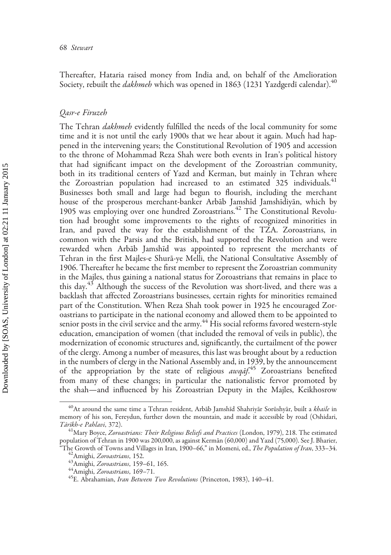Thereafter, Hataria raised money from India and, on behalf of the Amelioration Society, rebuilt the *dakhmeh* which was opened in 1863 (1231 Yazdgerdī calendar).<sup>40</sup>

#### Qasr-e Firuzeh

The Tehran *dakhmeh* evidently fulfilled the needs of the local community for some time and it is not until the early 1900s that we hear about it again. Much had happened in the intervening years; the Constitutional Revolution of 1905 and accession to the throne of Mohammad Reza Shah were both events in Iran's political history that had significant impact on the development of the Zoroastrian community, both in its traditional centers of Yazd and Kerman, but mainly in Tehran where the Zoroastrian population had increased to an estimated 325 individuals.<sup>41</sup> Businesses both small and large had begun to flourish, including the merchant house of the prosperous merchant-banker Arbāb Jamshīd Jamshīdiyān, which by 1905 was employing over one hundred Zoroastrians.<sup>42</sup> The Constitutional Revolution had brought some improvements to the rights of recognized minorities in Iran, and paved the way for the establishment of the TZA. Zoroastrians, in common with the Parsis and the British, had supported the Revolution and were rewarded when Arbāb Jamshīd was appointed to represent the merchants of Tehran in the first Majles-e Shurā-ye Melli, the National Consultative Assembly of 1906. Thereafter he became the first member to represent the Zoroastrian community in the Majles, thus gaining a national status for Zoroastrians that remains in place to this day.<sup>43</sup> Although the success of the Revolution was short-lived, and there was a backlash that affected Zoroastrians businesses, certain rights for minorities remained part of the Constitution. When Reza Shah took power in 1925 he encouraged Zoroastrians to participate in the national economy and allowed them to be appointed to senior posts in the civil service and the army.<sup>44</sup> His social reforms favored western-style education, emancipation of women (that included the removal of veils in public), the modernization of economic structures and, significantly, the curtailment of the power of the clergy. Among a number of measures, this last was brought about by a reduction in the numbers of clergy in the National Assembly and, in 1939, by the announcement of the appropriation by the state of religious  $awq\bar{a}f^{45}$  Zoroastrians benefited from many of these changes; in particular the nationalistic fervor promoted by the shah—and influenced by his Zoroastrian Deputy in the Majles, Keikhosrow

<sup>&</sup>lt;sup>40</sup>At around the same time a Tehran resident, Arbāb Jamshīd Shahriyār Sorūshyār, built a khaile in memory of his son, Fereydun, further down the mountain, and made it accessible by road (Oshidari, Tärīkh-e Pahlavi, 372).<br><sup>41</sup>Mary Boyce, *Zoroastrians: Their Religious Beliefs and Practices* (London, 1979), 218. The estimated

population of Tehran in 1900 was 200,000, as against Kermān (60,000) and Yazd (75,000). See J. Bharier, "The Growth of Towns and Villages in Iran, 1900–66," in Momeni, ed., *The Population of Iran*, 333–34.<br><sup>42</sup>Amighi, *Zoroastrians*, 152.<br><sup>43</sup>Amighi, *Zoroastrians*, 159–61, 165.<br><sup>44</sup>Amighi, *Zoroastrians*, 169–71.

<sup>&</sup>lt;sup>45</sup>E. Abrahamian, *Iran Between Two Revolutions* (Princeton, 1983), 140–41.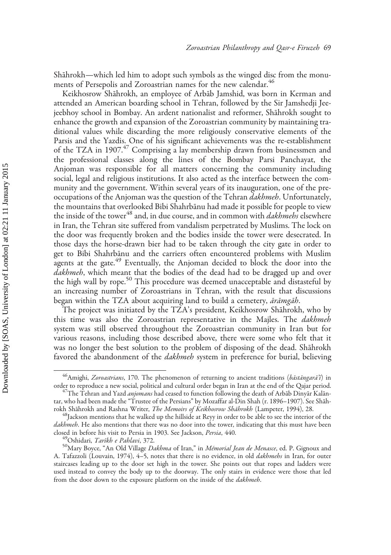Shāhrokh—which led him to adopt such symbols as the winged disc from the monuments of Persepolis and Zoroastrian names for the new calendar.<sup>46</sup>

Keikhosrow Shāhrokh, an employee of Arbāb Jamshid, was born in Kerman and attended an American boarding school in Tehran, followed by the Sir Jamshedji Jeejeebhoy school in Bombay. An ardent nationalist and reformer, Shāhrokh sought to enhance the growth and expansion of the Zoroastrian community by maintaining traditional values while discarding the more religiously conservative elements of the Parsis and the Yazdis. One of his significant achievements was the re-establishment of the TZA in 1907.<sup>47</sup> Comprising a lay membership drawn from businessmen and the professional classes along the lines of the Bombay Parsi Panchayat, the Anjoman was responsible for all matters concerning the community including social, legal and religious institutions. It also acted as the interface between the community and the government. Within several years of its inauguration, one of the preoccupations of the Anjoman was the question of the Tehran dakhmeh. Unfortunately, the mountains that overlooked Bibi Shahrbānu had made it possible for people to view the inside of the tower<sup>48</sup> and, in due course, and in common with  $dakhmebs$  elsewhere in Iran, the Tehran site suffered from vandalism perpetrated by Muslims. The lock on the door was frequently broken and the bodies inside the tower were desecrated. In those days the horse-drawn bier had to be taken through the city gate in order to get to Bibi Shahrbānu and the carriers often encountered problems with Muslim agents at the gate.<sup>49</sup> Eventually, the Anjoman decided to block the door into the dakhmeh, which meant that the bodies of the dead had to be dragged up and over the high wall by rope.50 This procedure was deemed unacceptable and distasteful by an increasing number of Zoroastrians in Tehran, with the result that discussions began within the TZA about acquiring land to build a cemetery, *ārāmgāh*.

The project was initiated by the TZA's president, Keikhosrow Shāhrokh, who by this time was also the Zoroastrian representative in the Majles. The *dakhmeh* system was still observed throughout the Zoroastrian community in Iran but for various reasons, including those described above, there were some who felt that it was no longer the best solution to the problem of disposing of the dead. Shāhrokh favored the abandonment of the *dakhmeh* system in preference for burial, believing

<sup>&</sup>lt;sup>46</sup>Amighi, *Zoroastrians*, 170. The phenomenon of returning to ancient traditions (bāstāngarā'ī) in order to reproduce a new social, political and cultural order began in Iran at the end of the Qajar period.<br><sup>47</sup>The Tehran and Yazd *anjomans* had ceased to function following the death of Arbāb Dinyār Kalān-

tar, who had been made the "Trustee of the Persians" by Mozaffar al-Din Shah (r. 1896–1907). See Shāhrokh Shāhrokh and Rashna Writer, *The Memoirs of Keikhosrow Shāhrokh* (Lampeter, 1994), 28.<br><sup>48</sup>Jackson mentions that he walked up the hillside at Reyy in order to be able to see the interior of the

dakhmeh. He also mentions that there was no door into the tower, indicating that this must have been closed in before his visit to Persia in 1903. See Jackson, *Persia*, 440.<br><sup>49</sup>Oshidari, *Tarikh e Pahlavi*, 372.

<sup>&</sup>lt;sup>50</sup>Mary Boyce, "An Old Village *Dakhma* of Iran," in *Mémorial Jean de Menasce*, ed. P. Gignoux and A. Tafazzoli (Louvain, 1974), 4–5, notes that there is no evidence, in old dakhmehs in Iran, for outer staircases leading up to the door set high in the tower. She points out that ropes and ladders were used instead to convey the body up to the doorway. The only stairs in evidence were those that led from the door down to the exposure platform on the inside of the dakhmeh.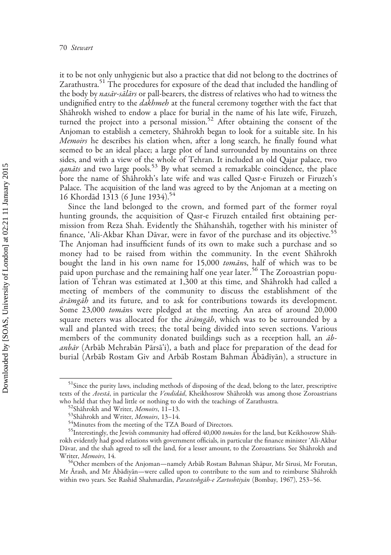it to be not only unhygienic but also a practice that did not belong to the doctrines of Zarathustra.<sup>51</sup> The procedures for exposure of the dead that included the handling of the body by nasār-sālārs or pall-bearers, the distress of relatives who had to witness the undignified entry to the *dakhmeh* at the funeral ceremony together with the fact that Shāhrokh wished to endow a place for burial in the name of his late wife, Firuzeh, turned the project into a personal mission.<sup>52</sup> After obtaining the consent of the Anjoman to establish a cemetery, Shāhrokh began to look for a suitable site. In his Memoirs he describes his elation when, after a long search, he finally found what seemed to be an ideal place; a large plot of land surrounded by mountains on three sides, and with a view of the whole of Tehran. It included an old Qajar palace, two  $qanāts$  and two large pools.<sup>53</sup> By what seemed a remarkable coincidence, the place bore the name of Shāhrokh's late wife and was called Qasr-e Firuzeh or Firuzeh's Palace. The acquisition of the land was agreed to by the Anjoman at a meeting on 16 Khordād 1313 (6 June 1934).<sup>54</sup>

Since the land belonged to the crown, and formed part of the former royal hunting grounds, the acquisition of Qasr-e Firuzeh entailed first obtaining permission from Reza Shah. Evidently the Shāhanshāh, together with his minister of finance, 'Ali-Akbar Khan Dāvar, were in favor of the purchase and its objective.<sup>55</sup> The Anjoman had insufficient funds of its own to make such a purchase and so money had to be raised from within the community. In the event Shāhrokh bought the land in his own name for 15,000 tomans, half of which was to be paid upon purchase and the remaining half one year later.<sup>56</sup> The Zoroastrian population of Tehran was estimated at 1,300 at this time, and Shāhrokh had called a meeting of members of the community to discuss the establishment of the ārāmgāh and its future, and to ask for contributions towards its development. Some 23,000 tomāns were pledged at the meeting. An area of around 20,000 square meters was allocated for the *ārāmgāh*, which was to be surrounded by a wall and planted with trees; the total being divided into seven sections. Various members of the community donated buildings such as a reception hall, an  $\bar{a}b$ anbār (Arbāb Mehrabān Pārsā'i), a bath and place for preparation of the dead for burial (Arbāb Rostam Giv and Arbāb Rostam Bahman Ābādīyān), a structure in

<sup>&</sup>lt;sup>51</sup>Since the purity laws, including methods of disposing of the dead, belong to the later, prescriptive texts of the *Avesta*, in particular the Vendidād, Kheikhosrow Shāhrokh was among those Zoroastrians who held that they had little or nothing to do with the teachings of Zarathustra.<br><sup>52</sup>Shāhrokh and Writer, *Memoirs*, 11–13.<br><sup>53</sup>Shāhrokh and Writer, *Memoirs*, 13–14.<br><sup>54</sup>Minutes from the meeting of the TZA Board of Direc

<sup>&</sup>lt;sup>55</sup>Interestingly, the Jewish community had offered 40,000 tomāns for the land, but Keikhosrow Shāhrokh evidently had good relations with government officials, in particular the finance minister 'Ali-Akbar Dāvar, and the shah agreed to sell the land, for a lesser amount, to the Zoroastrians. See Shāhrokh and Writer, *Memoirs*, 14.<br><sup>56</sup>Other members of the Anjoman—namely Arbāb Rostam Bahman Shāpur, Mr Sirusi, Mr Forutan,

Mr Ārash, and Mr Ābādiyān—were called upon to contribute to the sum and to reimburse Shāhrokh within two years. See Rashid Shahmardān, Parasteshgāh-e Zartoshtiyān (Bombay, 1967), 253–56.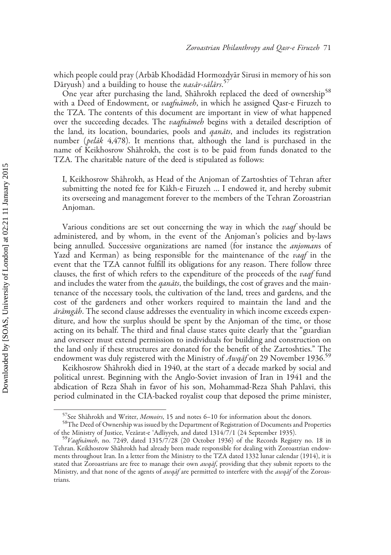which people could pray (Arbāb Khodādād Hormozdyār Sirusi in memory of his son Dāryush) and a building to house the *nasār-sālārs*.<sup>57</sup>

One year after purchasing the land, Shāhrokh replaced the deed of ownership<sup>58</sup> with a Deed of Endowment, or vaqfnāmeh, in which he assigned Qasr-e Firuzeh to the TZA. The contents of this document are important in view of what happened over the succeeding decades. The *vaqfnāmeh* begins with a detailed description of the land, its location, boundaries, pools and *qanāts*, and includes its registration number (*pelāk* 4,478). It mentions that, although the land is purchased in the name of Keikhosrow Shāhrokh, the cost is to be paid from funds donated to the TZA. The charitable nature of the deed is stipulated as follows:

I, Keikhosrow Shāhrokh, as Head of the Anjoman of Zartoshties of Tehran after submitting the noted fee for Kākh-e Firuzeh … I endowed it, and hereby submit its overseeing and management forever to the members of the Tehran Zoroastrian Anjoman.

Various conditions are set out concerning the way in which the vaqf should be administered, and by whom, in the event of the Anjoman's policies and by-laws being annulled. Successive organizations are named (for instance the *anjomans* of Yazd and Kerman) as being responsible for the maintenance of the *vaqf* in the event that the TZA cannot fulfill its obligations for any reason. There follow three clauses, the first of which refers to the expenditure of the proceeds of the vaqf fund and includes the water from the *qanāts*, the buildings, the cost of graves and the maintenance of the necessary tools, the cultivation of the land, trees and gardens, and the cost of the gardeners and other workers required to maintain the land and the ārāmgāh. The second clause addresses the eventuality in which income exceeds expenditure, and how the surplus should be spent by the Anjoman of the time, or those acting on its behalf. The third and final clause states quite clearly that the "guardian and overseer must extend permission to individuals for building and construction on the land only if these structures are donated for the benefit of the Zartoshties." The endowment was duly registered with the Ministry of  $\text{A}wq\bar{a}f$  on 29 November 1936.<sup>59</sup>

Keikhosrow Shāhrokh died in 1940, at the start of a decade marked by social and political unrest. Beginning with the Anglo-Soviet invasion of Iran in 1941 and the abdication of Reza Shah in favor of his son, Mohammad-Reza Shah Pahlavi, this period culminated in the CIA-backed royalist coup that deposed the prime minister,

 $57$ See Shāhrokh and Writer, *Memoirs*, 15 and notes 6–10 for information about the donors.<br> $58$ The Deed of Ownership was issued by the Department of Registration of Documents and Properties of the Ministry of Justice, Vezārat-e 'Adliyyeh, and dated 1314/7/1 (24 September 1935).<br><sup>59</sup>Vaqfnāmeh, no. 7249, dated 1315/7/28 (20 October 1936) of the Records Registry no. 18 in

Tehran. Keikhosrow Shāhrokh had already been made responsible for dealing with Zoroastrian endowments throughout Iran. In a letter from the Ministry to the TZA dated 1332 lunar calendar (1914), it is stated that Zoroastrians are free to manage their own *awqaf*, providing that they submit reports to the Ministry, and that none of the agents of *awqāf* are permitted to interfere with the *awqāf* of the Zoroastrians.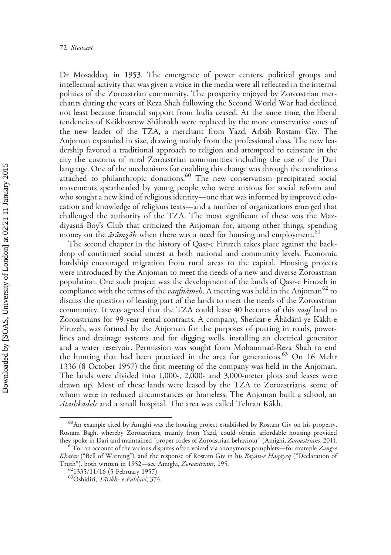Dr Mosaddeq, in 1953. The emergence of power centers, political groups and intellectual activity that was given a voice in the media were all reflected in the internal politics of the Zoroastrian community. The prosperity enjoyed by Zoroastrian merchants during the years of Reza Shah following the Second World War had declined not least because financial support from India ceased. At the same time, the liberal tendencies of Keikhosrow Shāhrokh were replaced by the more conservative ones of the new leader of the TZA, a merchant from Yazd, Arbāb Rostam Gīv. The Anjoman expanded in size, drawing mainly from the professional class. The new leadership favored a traditional approach to religion and attempted to reinstate in the city the customs of rural Zoroastrian communities including the use of the Dari language. One of the mechanisms for enabling this change was through the conditions attached to philanthropic donations.<sup>60</sup> The new conservatism precipitated social movements spearheaded by young people who were anxious for social reform and who sought a new kind of religious identity—one that was informed by improved education and knowledge of religious texts—and a number of organizations emerged that challenged the authority of the TZA. The most significant of these was the Mazdiyasnā Boy's Club that criticized the Anjoman for, among other things, spending money on the *ārāmgāh* when there was a need for housing and employment.<sup>61</sup>

The second chapter in the history of Qasr-e Firuzeh takes place against the backdrop of continued social unrest at both national and community levels. Economic hardship encouraged migration from rural areas to the capital. Housing projects were introduced by the Anjoman to meet the needs of a new and diverse Zoroastrian population. One such project was the development of the lands of Qasr-e Firuzeh in compliance with the terms of the *vaqfnāmeh*. A meeting was held in the Anjoman<sup>62</sup> to discuss the question of leasing part of the lands to meet the needs of the Zoroastrian community. It was agreed that the TZA could lease 40 hectares of this *vaqf* land to Zoroastrians for 99-year rental contracts. A company, Sherkat-e Ābādānī-ye Kākh-e Firuzeh, was formed by the Anjoman for the purposes of putting in roads, powerlines and drainage systems and for digging wells, installing an electrical generator and a water reservoir. Permission was sought from Mohammad-Reza Shah to end the hunting that had been practiced in the area for generations.<sup>63</sup> On 16 Mehr 1336 (8 October 1957) the first meeting of the company was held in the Anjoman. The lands were divided into 1,000-, 2,000- and 3,000-meter plots and leases were drawn up. Most of these lands were leased by the TZA to Zoroastrians, some of whom were in reduced circumstances or homeless. The Anjoman built a school, an Ātashkadeh and a small hospital. The area was called Tehran Kākh.

<sup>60</sup>An example cited by Amighi was the housing project established by Rostam Giv on his property, Rostam Bagh, whereby Zoroastrians, mainly from Yazd, could obtain affordable housing provided they spoke in Dari and maintained "proper codes of Zoroastrian behaviour" (Amighi, Zoroastrians, 201).<br><sup>61</sup>For an account of the various disputes often voiced via anonymous pamphlets—for example Zang-e

Khatar ("Bell of Warning"), and the response of Rostam Giv in his Bayan-e Haqayeq ("Declaration of Truth"), both written in 1952—see Amighi, *Zoroastrians*, 195.<br><sup>62</sup>1335/11/16 (5 February 1957).<br><sup>63</sup>Oshidiri, *Tārikh- e Pahlavi*, 374.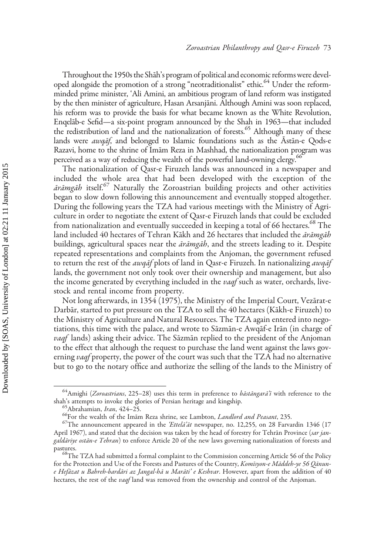Throughout the 1950s the Shāh's program of political and economic reforms were developed alongside the promotion of a strong "neotraditionalist" ethic.<sup>64</sup> Under the reformminded prime minister, 'Ali Amini, an ambitious program of land reform was instigated by the then minister of agriculture, Hasan Arsanjāni. Although Amini was soon replaced, his reform was to provide the basis for what became known as the White Revolution, Enqelāb-e Sefid—a six-point program announced by the Shah in 1963—that included the redistribution of land and the nationalization of forests.<sup>65</sup> Although many of these lands were awqāf, and belonged to Islamic foundations such as the Āstān-e Qods-e Razavi, home to the shrine of Imām Reza in Mashhad, the nationalization program was perceived as a way of reducing the wealth of the powerful land-owning clergy.<sup>66</sup>

The nationalization of Qasr-e Firuzeh lands was announced in a newspaper and included the whole area that had been developed with the exception of the  $\bar{a}$ rāmgāh itself.<sup>67</sup> Naturally the Zoroastrian building projects and other activities began to slow down following this announcement and eventually stopped altogether. During the following years the TZA had various meetings with the Ministry of Agriculture in order to negotiate the extent of Qasr-e Firuzeh lands that could be excluded from nationalization and eventually succeeded in keeping a total of 66 hectares.<sup>68</sup> The land included 40 hectares of Tehran Kākh and 26 hectares that included the ārāmgāh buildings, agricultural spaces near the *ārāmgāh*, and the streets leading to it. Despite repeated representations and complaints from the Anjoman, the government refused to return the rest of the *awqāf* plots of land in Qasr-e Firuzeh. In nationalizing *awqāf* lands, the government not only took over their ownership and management, but also the income generated by everything included in the vaqf such as water, orchards, livestock and rental income from property.

Not long afterwards, in 1354 (1975), the Ministry of the Imperial Court, Vezārat-e Darbār, started to put pressure on the TZA to sell the 40 hectares (Kākh-e Firuzeh) to the Ministry of Agriculture and Natural Resources. The TZA again entered into negotiations, this time with the palace, and wrote to Sāzmān-e Awqāf-e Irān (in charge of vaqf lands) asking their advice. The Sāzmān replied to the president of the Anjoman to the effect that although the request to purchase the land went against the laws governing vaqf property, the power of the court was such that the TZA had no alternative but to go to the notary office and authorize the selling of the lands to the Ministry of

<sup>&</sup>lt;sup>64</sup>Amighi (*Zoroastrians*, 225–28) uses this term in preference to *bāstāngarā'ī* with reference to the shah's attempts to invoke the glories of Persian heritage and kingship.

<sup>&</sup>lt;sup>65</sup>Abrahamian, *Iran*, 424–25.<br><sup>66</sup>For the wealth of the Imām Reza shrine, see Lambton, *Landlord and Peasant*, 235.<br><sup>67</sup>The announcement appeared in the *Ettela*'at newspaper, no. 12,255, on 28 Farvardin 1346 (17 April 1967), and stated that the decision was taken by the head of forestry for Tehrān Province (sar jangaldāriye ostān-e Tehran) to enforce Article 20 of the new laws governing nationalization of forests and pastures.

<sup>&</sup>lt;sup>68</sup>The TZA had submitted a formal complaint to the Commission concerning Article 56 of the Policy for the Protection and Use of the Forests and Pastures of the Country, Komīsyon-e Māddeh-ye 56 Qānune Hefāzat u Bahreh-bardāri az Jangal-hā u Marāti' e Keshvar. However, apart from the addition of 40 hectares, the rest of the vaqf land was removed from the ownership and control of the Anjoman.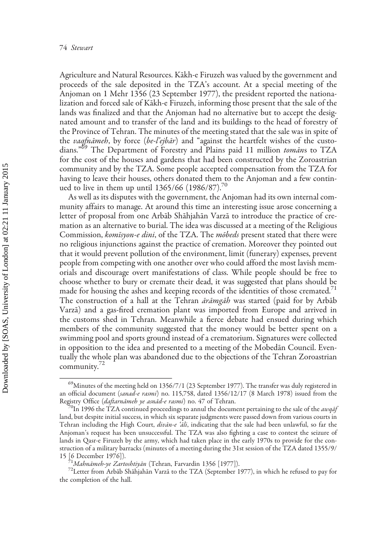Agriculture and Natural Resources. Kākh-e Firuzeh was valued by the government and proceeds of the sale deposited in the TZA's account. At a special meeting of the Anjoman on 1 Mehr 1356 (23 September 1977), the president reported the nationalization and forced sale of Kākh-e Firuzeh, informing those present that the sale of the lands was finalized and that the Anjoman had no alternative but to accept the designated amount and to transfer of the land and its buildings to the head of forestry of the Province of Tehran. The minutes of the meeting stated that the sale was in spite of the vaqfnāmeh, by force (be-l'ejbār) and "against the heartfelt wishes of the custodians."<sup>69</sup> The Department of Forestry and Plains paid 11 million tomāns to TZA for the cost of the houses and gardens that had been constructed by the Zoroastrian community and by the TZA. Some people accepted compensation from the TZA for having to leave their houses, others donated them to the Anjoman and a few continued to live in them up until  $1365/66$  (1986/87).<sup>70</sup>

As well as its disputes with the government, the Anjoman had its own internal community affairs to manage. At around this time an interesting issue arose concerning a letter of proposal from one Arbāb Shāhjahān Varzā to introduce the practice of cremation as an alternative to burial. The idea was discussed at a meeting of the Religious Commission, komīsyon-e dini, of the TZA. The mōbeds present stated that there were no religious injunctions against the practice of cremation. Moreover they pointed out that it would prevent pollution of the environment, limit (funerary) expenses, prevent people from competing with one another over who could afford the most lavish memorials and discourage overt manifestations of class. While people should be free to choose whether to bury or cremate their dead, it was suggested that plans should be made for housing the ashes and keeping records of the identities of those cremated.<sup>71</sup> The construction of a hall at the Tehran *ārāmgāh* was started (paid for by Arbāb Varzā) and a gas-fired cremation plant was imported from Europe and arrived in the customs shed in Tehran. Meanwhile a fierce debate had ensued during which members of the community suggested that the money would be better spent on a swimming pool and sports ground instead of a crematorium. Signatures were collected in opposition to the idea and presented to a meeting of the Mobedān Council. Eventually the whole plan was abandoned due to the objections of the Tehran Zoroastrian community.<sup>72</sup>

 $^{69}$ Minutes of the meeting held on 1356/7/1 (23 September 1977). The transfer was duly registered in an official document (sanad-e rasmi) no. 115,758, dated 1356/12/17 (8 March 1978) issued from the Registry Office (daftarnameh ye asnad-e rasmi) no. 47 of Tehran.

 $^{70}\rm{In}$  1996 the TZA continued proceedings to annul the document pertaining to the sale of the  $awq\tilde{a}f$ land, but despite initial success, in which six separate judgments were passed down from various courts in Tehran including the High Court, divan-e 'ali, indicating that the sale had been unlawful, so far the Anjoman's request has been unsuccessful. The TZA was also fighting a case to contest the seizure of lands in Qasr-e Firuzeh by the army, which had taken place in the early 1970s to provide for the construction of a military barracks (minutes of a meeting during the 31st session of the TZA dated 1355/9/

<sup>&</sup>lt;sup>71</sup>Mahnāmeh-ye Zartoshtiyān (Tehran, Farvardin 1356 [1977]).<br><sup>72</sup>Letter from Arbāb Shāhjahān Varzā to the TZA (September 1977), in which he refused to pay for the completion of the hall.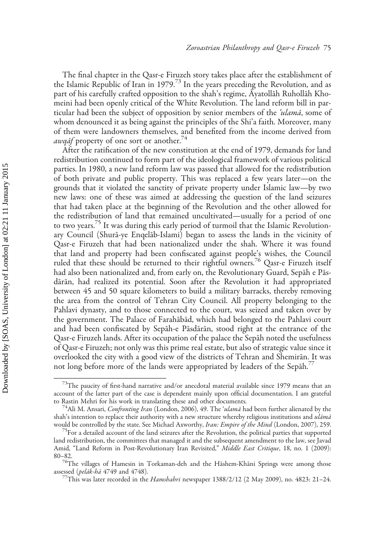The final chapter in the Qasr-e Firuzeh story takes place after the establishment of the Islamic Republic of Iran in 1979.<sup>73</sup> In the years preceding the Revolution, and as part of his carefully crafted opposition to the shah's regime, Āyatollāh Ruhollāh Khomeini had been openly critical of the White Revolution. The land reform bill in particular had been the subject of opposition by senior members of the 'ulamā, some of whom denounced it as being against the principles of the Shi'a faith. Moreover, many of them were landowners themselves, and benefited from the income derived from *awqāf* property of one sort or another.<sup>74</sup>

After the ratification of the new constitution at the end of 1979, demands for land redistribution continued to form part of the ideological framework of various political parties. In 1980, a new land reform law was passed that allowed for the redistribution of both private and public property. This was replaced a few years later—on the grounds that it violated the sanctity of private property under Islamic law—by two new laws: one of these was aimed at addressing the question of the land seizures that had taken place at the beginning of the Revolution and the other allowed for the redistribution of land that remained uncultivated—usually for a period of one to two years.<sup>75</sup> It was during this early period of turmoil that the Islamic Revolutionary Council (Shurā-ye Enqelāb-Islami) began to assess the lands in the vicinity of Qasr-e Firuzeh that had been nationalized under the shah. Where it was found that land and property had been confiscated against people's wishes, the Council ruled that these should be returned to their rightful owners.<sup>76</sup> Qasr-e Firuzeh itself had also been nationalized and, from early on, the Revolutionary Guard, Sepāh e Pāsdārān, had realized its potential. Soon after the Revolution it had appropriated between 45 and 50 square kilometers to build a military barracks, thereby removing the area from the control of Tehran City Council. All property belonging to the Pahlavi dynasty, and to those connected to the court, was seized and taken over by the government. The Palace of Farahābād, which had belonged to the Pahlavi court and had been confiscated by Sepāh-e Pāsdārān, stood right at the entrance of the Qasr-e Firuzeh lands. After its occupation of the palace the Sepāh noted the usefulness of Qasr-e Firuzeh; not only was this prime real estate, but also of strategic value since it overlooked the city with a good view of the districts of Tehran and Shemirān. It was not long before more of the lands were appropriated by leaders of the Sepah.<sup>77</sup>

<sup>&</sup>lt;sup>73</sup>The paucity of first-hand narrative and/or anecdotal material available since 1979 means that an account of the latter part of the case is dependent mainly upon official documentation. I am grateful

to Rastin Mehri for his work in translating these and other documents.<br><sup>74</sup>Ali M. Ansari, *Confronting Iran* (London, 2006), 49. The *'ulamā* had been further alienated by the shah's intention to replace their authority with a new structure whereby religious institutions and ulama would be controlled by the state. See Michael Axworthy, *Iran: Empire of the Mind* (London, 2007), 259. <sup>75</sup>For a detailed account of the land seizures after the Revolution, the political parties that supported

land redistribution, the committees that managed it and the subsequent amendment to the law, see Javad Amid, "Land Reform in Post-Revolutionary Iran Revisited," Middle East Critique, 18, no. 1 (2009): 80–82.

<sup>&</sup>lt;sup>76</sup>The villages of Hamesin in Torkaman-deh and the Hāshem-Khāni Springs were among those assessed (*pelāk-bā* 4749 and 4748).

<sup>&</sup>lt;sup>77</sup>This was later recorded in the *Hamshahri* newspaper 1388/2/12 (2 May 2009), no. 4823: 21–24.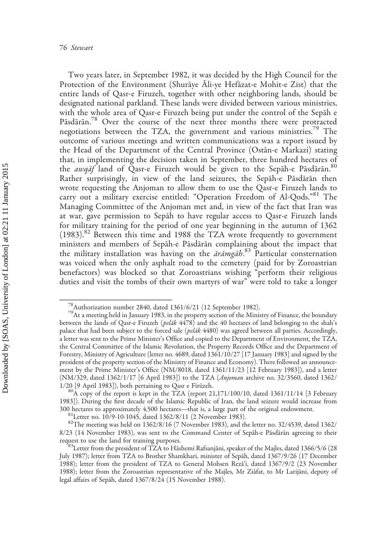Two years later, in September 1982, it was decided by the High Council for the Protection of the Environment (Shurāye Āli-ye Hefāzat-e Mohit-e Zist) that the entire lands of Qasr-e Firuzeh, together with other neighboring lands, should be designated national parkland. These lands were divided between various ministries, with the whole area of Qasr-e Firuzeh being put under the control of the Sepāh e Pāsdārān.<sup>78</sup> Over the course of the next three months there were protracted negotiations between the TZA, the government and various ministries.<sup>79</sup> The outcome of various meetings and written communications was a report issued by the Head of the Department of the Central Province (Ostān-e Markazi) stating that, in implementing the decision taken in September, three hundred hectares of the awqāf land of Qasr-e Firuzeh would be given to the Sepāh-e Pāsdārān.<sup>80</sup> Rather surprisingly, in view of the land seizures, the Sepāh-e Pāsdārān then wrote requesting the Anjoman to allow them to use the Qasr-e Firuzeh lands to carry out a military exercise entitled: "Operation Freedom of Al-Qods." <sup>81</sup> The Managing Committee of the Anjoman met and, in view of the fact that Iran was at war, gave permission to Sepāh to have regular access to Qasr-e Firuzeh lands for military training for the period of one year beginning in the autumn of 1362 (1983).<sup>82</sup> Between this time and 1988 the TZA wrote frequently to government ministers and members of Sepāh-e Pāsdārān complaining about the impact that the military installation was having on the  $\tilde{\pi}$ ramgah. $^{83}$  Particular consternation was voiced when the only asphalt road to the cemetery (paid for by Zoroastrian benefactors) was blocked so that Zoroastrians wishing "perform their religious duties and visit the tombs of their own martyrs of war" were told to take a longer

<sup>&</sup>lt;sup>78</sup>Authorization number 2840, dated 1361/6/21 (12 September 1982).<br><sup>79</sup>At a meeting held in January 1983, in the property section of the Ministry of Finance, the boundary between the lands of Qasr-e Firuzeh (pelāk 4478) and the 40 hectares of land belonging to the shah's palace that had been subject to the forced sale (pelāk 4480) was agreed between all parties. Accordingly, a letter was sent to the Prime Minister's Office and copied to the Department of Environment, the TZA, the Central Committee of the Islamic Revolution, the Property Records Office and the Department of Forestry, Ministry of Agriculture (letter no. 4689, dated 1361/10/27 [17 January 1983] and signed by the president of the property section of the Ministry of Finance and Economy). There followed an announcement by the Prime Minister's Office (NM/8018, dated 1361/11/23 [12 February 1983]), and a letter (NM/329, dated 1362/1/17 [6 April 1983]) to the TZA (Anjoman archive no. 32/3560, dated 1362/

<sup>1/20 [9</sup> April 1983]), both pertaining to Qasr e Fīrūzeh.<br><sup>80</sup>A copy of the report is kept in the TZA (report 21,171/100/10, dated 1361/11/14 [3 February 1983]). During the first decade of the Islamic Republic of Iran, the land seizure would increase from 300 hectares to approximately 4,500 hectares—that is, a large part of the original endowment.<br><sup>81</sup>Letter no. 10/9-10-1045, dated 1362/8/11 (2 November 1983).<br><sup>82</sup>The meeting was held on 1362/8/16 (7 November 1983), and th

<sup>8/23 (14</sup> November 1983), was sent to the Command Center of Sepāh-e Pāsdārān agreeing to their request to use the land for training purposes. 83Letter from the president of TZA to Hāshemi Rafsanjāni, speaker of the Majles, dated 1366/5/6 (28

July 1987); letter from TZA to Brother Shamkhari, minister of Sepāh, dated 1367/9/26 (17 December 1988); letter from the president of TZA to General Mohsen Rezā'i, dated 1367/9/2 (23 November 1988); letter from the Zoroastrian representative of the Majles, Mr Ziāfat, to Mr Larijāni, deputy of legal affairs of Sepāh, dated 1367/8/24 (15 November 1988).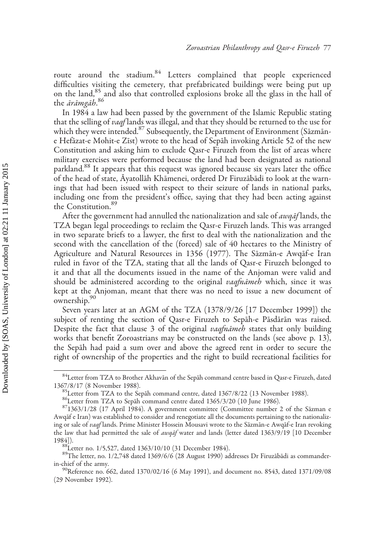route around the stadium.<sup>84</sup> Letters complained that people experienced difficulties visiting the cemetery, that prefabricated buildings were being put up on the land,<sup>85</sup> and also that controlled explosions broke all the glass in the hall of the *ārāmgāh*.<sup>86</sup>

In 1984 a law had been passed by the government of the Islamic Republic stating that the selling of vaqf lands was illegal, and that they should be returned to the use for which they were intended.<sup>87</sup> Subsequently, the Department of Environment (Sāzmāne Hefāzat-e Mohit-e Zīst) wrote to the head of Sepāh invoking Article 52 of the new Constitution and asking him to exclude Qasr-e Firuzeh from the list of areas where military exercises were performed because the land had been designated as national parkland.<sup>88</sup> It appears that this request was ignored because six years later the office of the head of state, Āyatollāh Khāmenei, ordered Dr Firuzābādi to look at the warnings that had been issued with respect to their seizure of lands in national parks, including one from the president's office, saying that they had been acting against the Constitution.<sup>89</sup>

After the government had annulled the nationalization and sale of  $\textit{away}$  ands, the TZA began legal proceedings to reclaim the Qasr-e Firuzeh lands. This was arranged in two separate briefs to a lawyer, the first to deal with the nationalization and the second with the cancellation of the (forced) sale of 40 hectares to the Ministry of Agriculture and Natural Resources in 1356 (1977). The Sāzmān-e Awqāf-e Iran ruled in favor of the TZA, stating that all the lands of Qasr-e Firuzeh belonged to it and that all the documents issued in the name of the Anjoman were valid and should be administered according to the original vagfnameh which, since it was kept at the Anjoman, meant that there was no need to issue a new document of ownership.<sup>90</sup>

Seven years later at an AGM of the TZA (1378/9/26 [17 December 1999]) the subject of renting the section of Qasr-e Firuzeh to Sepāh-e Pāsdārān was raised. Despite the fact that clause 3 of the original vagfnameh states that only building works that benefit Zoroastrians may be constructed on the lands (see above p. 13), the Sepāh had paid a sum over and above the agreed rent in order to secure the right of ownership of the properties and the right to build recreational facilities for

<sup>&</sup>lt;sup>84</sup>Letter from TZA to Brother Akhavān of the Sepāh command centre based in Qasr-e Firuzeh, dated 1367/8/17 (8 November 1988).<br><sup>85</sup>Letter from TZA to the Sepāh command centre, dated 1367/8/22 (13 November 1988).<br><sup>86</sup>Letter from TZA to Sepāh command centre dated 1365/3/20 (10 June 1986).<br><sup>87</sup>1363/1/28 (17 April 1984).

Awqāf e Iran) was established to consider and renegotiate all the documents pertaining to the nationalizing or sale of vaqf lands. Prime Minister Hossein Mousavi wrote to the Sāzmān-e Awqāf-e Iran revoking the law that had permitted the sale of *awqaf* water and lands (letter dated 1363/9/19 [10 December

<sup>1984]).&</sup>lt;br><sup>88</sup>Letter no. 1/5,527, dated 1363/10/10 (31 December 1984).<br><sup>89</sup>The letter, no. 1/2,748 dated 1369/6/6 (28 August 1990) addresses Dr Firuzābādi as commanderin-chief of the army.<br><sup>90</sup>Reference no. 662, dated 1370/02/16 (6 May 1991), and document no. 8543, dated 1371/09/08

<sup>(29</sup> November 1992).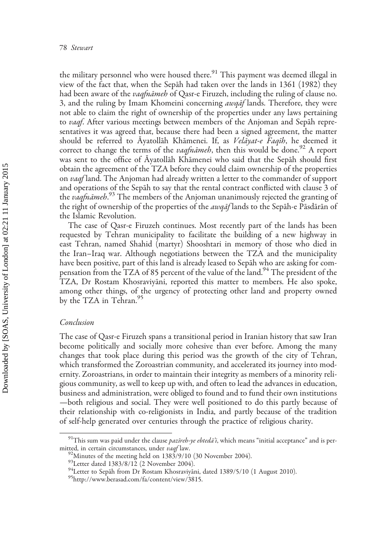the military personnel who were housed there.<sup>91</sup> This payment was deemed illegal in view of the fact that, when the Sepāh had taken over the lands in 1361 (1982) they had been aware of the *vaqfnāmeh* of Qasr-e Firuzeh, including the ruling of clause no. 3, and the ruling by Imam Khomeini concerning  $awq\bar{a}f$  lands. Therefore, they were not able to claim the right of ownership of the properties under any laws pertaining to *vaqf*. After various meetings between members of the Anjoman and Sepah representatives it was agreed that, because there had been a signed agreement, the matter should be referred to Āyatollāh Khāmenei. If, as Velāyat-e Faqīh, he deemed it correct to change the terms of the *vaqfnameh*, then this would be done.<sup>92</sup> A report was sent to the office of Āyatollāh Khāmenei who said that the Sepāh should first obtain the agreement of the TZA before they could claim ownership of the properties on *vaqf* land. The Anjoman had already written a letter to the commander of support and operations of the Sepāh to say that the rental contract conflicted with clause 3 of the vaqfnāmeh.<sup>93</sup> The members of the Anjoman unanimously rejected the granting of the right of ownership of the properties of the *awqāf* lands to the Sepāh-e Pāsdārān of the Islamic Revolution.

The case of Qasr-e Firuzeh continues. Most recently part of the lands has been requested by Tehran municipality to facilitate the building of a new highway in east Tehran, named Shahid (martyr) Shooshtari in memory of those who died in the Iran–Iraq war. Although negotiations between the TZA and the municipality have been positive, part of this land is already leased to Sepāh who are asking for compensation from the TZA of 85 percent of the value of the land.<sup>94</sup> The president of the TZA, Dr Rostam Khosraviyāni, reported this matter to members. He also spoke, among other things, of the urgency of protecting other land and property owned by the TZA in Tehran.<sup>95</sup>

#### Conclusion

The case of Qasr-e Firuzeh spans a transitional period in Iranian history that saw Iran become politically and socially more cohesive than ever before. Among the many changes that took place during this period was the growth of the city of Tehran, which transformed the Zoroastrian community, and accelerated its journey into modernity. Zoroastrians, in order to maintain their integrity as members of a minority religious community, as well to keep up with, and often to lead the advances in education, business and administration, were obliged to found and to fund their own institutions —both religious and social. They were well positioned to do this partly because of their relationship with co-religionists in India, and partly because of the tradition of self-help generated over centuries through the practice of religious charity.

<sup>&</sup>lt;sup>91</sup>This sum was paid under the clause *pazīreh-ye ebtedā'i*, which means "initial acceptance" and is per-<br>mitted, in certain circumstances, under *vaqf* law.

<sup>&</sup>lt;sup>92</sup>Minutes of the meeting held on 1383/9/10 (30 November 2004).<br><sup>93</sup>Letter dated 1383/8/12 (2 November 2004).<br><sup>94</sup>Letter to Sepāh from Dr Rostam Khosraviyāni, dated 1389/5/10 (1 August 2010).<br><sup>95</sup>http://www.berasad.com/f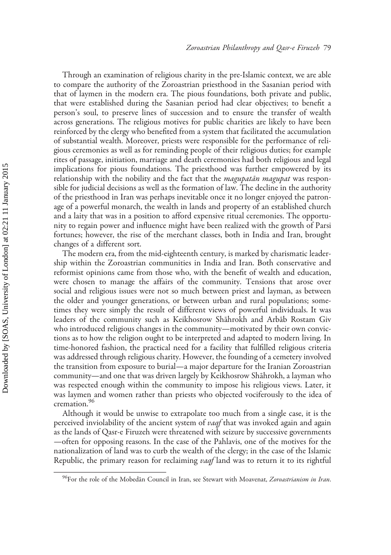Through an examination of religious charity in the pre-Islamic context, we are able to compare the authority of the Zoroastrian priesthood in the Sasanian period with that of laymen in the modern era. The pious foundations, both private and public, that were established during the Sasanian period had clear objectives; to benefit a person's soul, to preserve lines of succession and to ensure the transfer of wealth across generations. The religious motives for public charities are likely to have been reinforced by the clergy who benefited from a system that facilitated the accumulation of substantial wealth. Moreover, priests were responsible for the performance of religious ceremonies as well as for reminding people of their religious duties; for example rites of passage, initiation, marriage and death ceremonies had both religious and legal implications for pious foundations. The priesthood was further empowered by its relationship with the nobility and the fact that the *magupatān magupat* was responsible for judicial decisions as well as the formation of law. The decline in the authority of the priesthood in Iran was perhaps inevitable once it no longer enjoyed the patronage of a powerful monarch, the wealth in lands and property of an established church and a laity that was in a position to afford expensive ritual ceremonies. The opportunity to regain power and influence might have been realized with the growth of Parsi fortunes; however, the rise of the merchant classes, both in India and Iran, brought changes of a different sort.

The modern era, from the mid-eighteenth century, is marked by charismatic leadership within the Zoroastrian communities in India and Iran. Both conservative and reformist opinions came from those who, with the benefit of wealth and education, were chosen to manage the affairs of the community. Tensions that arose over social and religious issues were not so much between priest and layman, as between the older and younger generations, or between urban and rural populations; sometimes they were simply the result of different views of powerful individuals. It was leaders of the community such as Keikhosrow Shāhrokh and Arbāb Rostam Giv who introduced religious changes in the community—motivated by their own convictions as to how the religion ought to be interpreted and adapted to modern living. In time-honored fashion, the practical need for a facility that fulfilled religious criteria was addressed through religious charity. However, the founding of a cemetery involved the transition from exposure to burial—a major departure for the Iranian Zoroastrian community—and one that was driven largely by Keikhosrow Shāhrokh, a layman who was respected enough within the community to impose his religious views. Later, it was laymen and women rather than priests who objected vociferously to the idea of cremation.<sup>96</sup>

Although it would be unwise to extrapolate too much from a single case, it is the perceived inviolability of the ancient system of vaqf that was invoked again and again as the lands of Qasr-e Firuzeh were threatened with seizure by successive governments —often for opposing reasons. In the case of the Pahlavis, one of the motives for the nationalization of land was to curb the wealth of the clergy; in the case of the Islamic Republic, the primary reason for reclaiming vaqf land was to return it to its rightful

<sup>&</sup>lt;sup>96</sup>For the role of the Mobedān Council in Iran, see Stewart with Moavenat, Zoroastrianism in Iran.